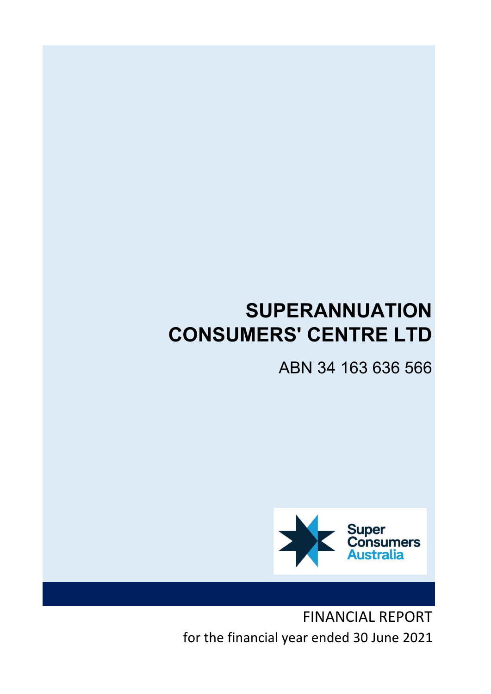# SUPERANNUATION CONSUMERS' CENTRE LTD

ABN 34 163 636 566



FINANCIAL REPORT for the financial year ended 30 June 2021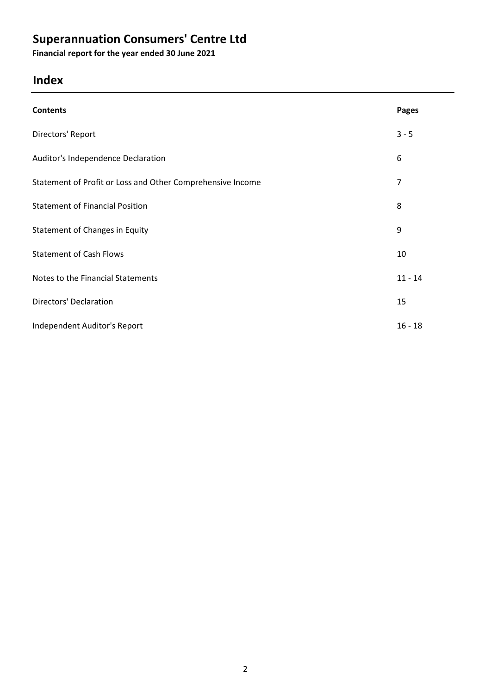Financial report for the year ended 30 June 2021

# Index

| <b>Contents</b>                                            | <b>Pages</b> |
|------------------------------------------------------------|--------------|
| Directors' Report                                          | $3 - 5$      |
| Auditor's Independence Declaration                         | 6            |
| Statement of Profit or Loss and Other Comprehensive Income | 7            |
| <b>Statement of Financial Position</b>                     | 8            |
| Statement of Changes in Equity                             | 9            |
| <b>Statement of Cash Flows</b>                             | 10           |
| Notes to the Financial Statements                          | $11 - 14$    |
| <b>Directors' Declaration</b>                              | 15           |
| Independent Auditor's Report                               | $16 - 18$    |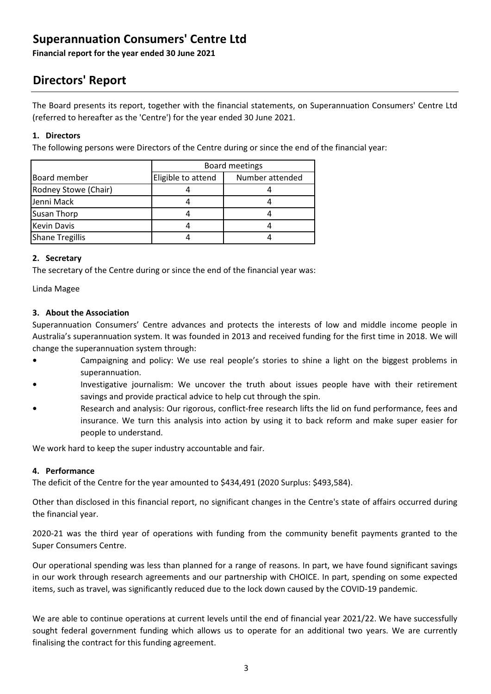Financial report for the year ended 30 June 2021

# Directors' Report

The Board presents its report, together with the financial statements, on Superannuation Consumers' Centre Ltd (referred to hereafter as the 'Centre') for the year ended 30 June 2021.

#### 1. Directors

The following persons were Directors of the Centre during or since the end of the financial year:

|                        | Board meetings     |                 |
|------------------------|--------------------|-----------------|
| <b>Board member</b>    | Eligible to attend | Number attended |
| Rodney Stowe (Chair)   |                    |                 |
| Jenni Mack             |                    |                 |
| <b>Susan Thorp</b>     |                    |                 |
| <b>Kevin Davis</b>     |                    |                 |
| <b>Shane Tregillis</b> |                    |                 |

#### 2. Secretary

The secretary of the Centre during or since the end of the financial year was:

Linda Magee

#### 3. About the Association

Superannuation Consumers' Centre advances and protects the interests of low and middle income people in Australia's superannuation system. It was founded in 2013 and received funding for the first time in 2018. We will change the superannuation system through:

- Campaigning and policy: We use real people's stories to shine a light on the biggest problems in superannuation.
- Investigative journalism: We uncover the truth about issues people have with their retirement savings and provide practical advice to help cut through the spin.
- Research and analysis: Our rigorous, conflict-free research lifts the lid on fund performance, fees and insurance. We turn this analysis into action by using it to back reform and make super easier for people to understand.

We work hard to keep the super industry accountable and fair.

#### 4. Performance

The deficit of the Centre for the year amounted to \$434,491 (2020 Surplus: \$493,584).

Other than disclosed in this financial report, no significant changes in the Centre's state of affairs occurred during the financial year.

2020-21 was the third year of operations with funding from the community benefit payments granted to the Super Consumers Centre.

Our operational spending was less than planned for a range of reasons. In part, we have found significant savings in our work through research agreements and our partnership with CHOICE. In part, spending on some expected items, such as travel, was significantly reduced due to the lock down caused by the COVID-19 pandemic.

We are able to continue operations at current levels until the end of financial year 2021/22. We have successfully sought federal government funding which allows us to operate for an additional two years. We are currently finalising the contract for this funding agreement.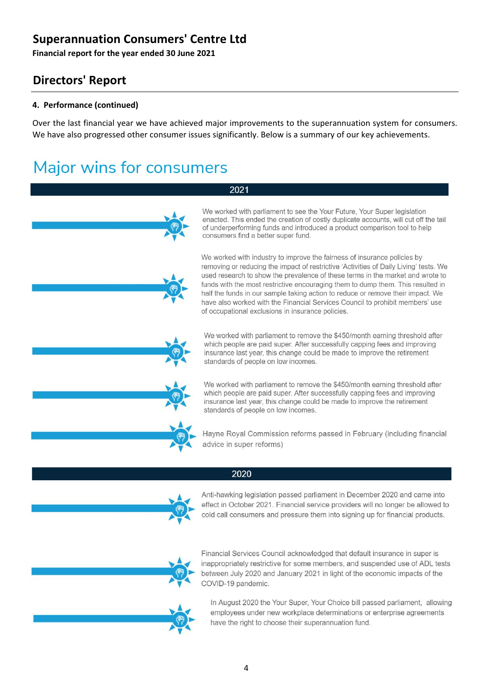Financial report for the year ended 30 June 2021

# Directors' Report

#### 4. Performance (continued)

Over the last financial year we have achieved major improvements to the superannuation system for consumers. We have also progressed other consumer issues significantly. Below is a summary of our key achievements.

# **Major wins for consumers**

#### 2021





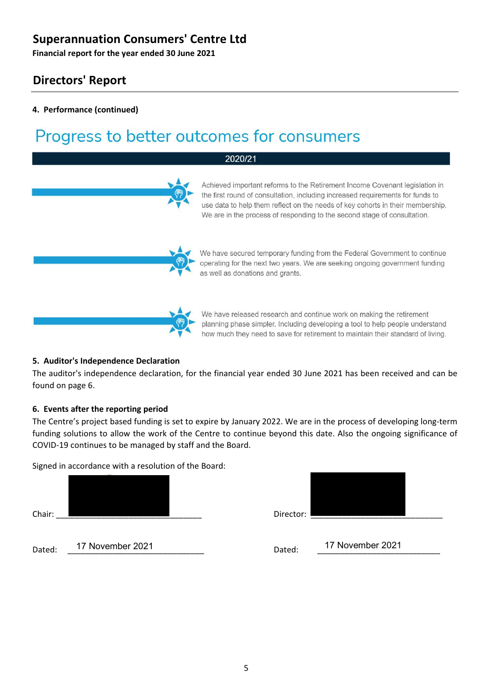Financial report for the year ended 30 June 2021

### Directors' Report

#### 4. Performance (continued)

# Progress to better outcomes for consumers

#### 2020/21

the first round of consultation, including increased requirements for funds to use data to help them reflect on the needs of key cohorts in their membership. We are in the process of responding to the second stage of consultation.

We have secured temporary funding from the Federal Government to continue operating for the next two years. We are seeking ongoing government funding as well as donations and grants.

Achieved important reforms to the Retirement Income Covenant legislation in



We have released research and continue work on making the retirement planning phase simpler. Including developing a tool to help people understand how much they need to save for retirement to maintain their standard of living.

#### 5. Auditor's Independence Declaration

The auditor's independence declaration, for the financial year ended 30 June 2021 has been received and can be found on page 6.

#### 6. Events after the reporting period

The Centre's project based funding is set to expire by January 2022. We are in the process of developing long-term funding solutions to allow the work of the Centre to continue beyond this date. Also the ongoing significance of COVID-19 continues to be managed by staff and the Board.

Signed in accordance with a resolution of the Board:

Chair: \_\_\_\_\_\_\_\_\_\_\_\_\_\_\_\_\_\_\_\_\_\_\_\_\_\_\_\_\_\_\_\_ Director: \_\_\_\_\_\_\_\_\_\_\_\_\_\_\_\_\_\_\_\_\_\_\_\_\_\_\_\_\_

Dated: \_\_\_\_\_\_\_\_\_\_\_\_\_\_\_\_\_\_\_\_\_\_\_\_\_\_\_\_\_\_ Dated: \_\_\_\_\_\_\_\_\_\_\_\_\_\_\_\_\_\_\_\_\_\_\_\_\_\_\_ 17 November 2021 17 November 2021



5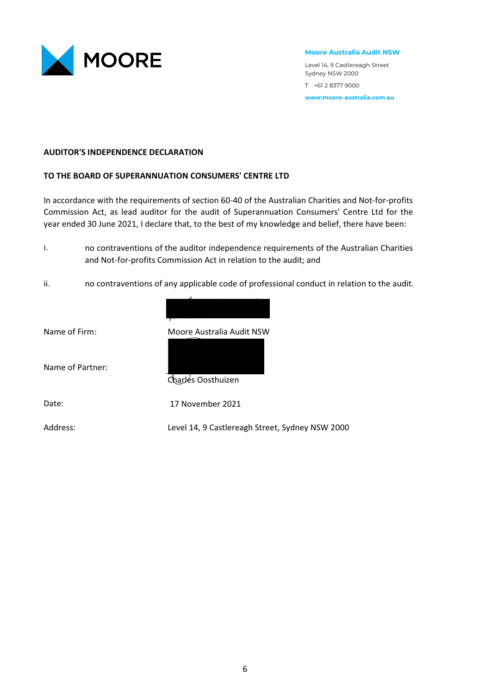

Moore Australia Audit NSW

Level 14, 9 Castlereagh Street Sydney NSW 2000 T +61 2 8377 9000 www.moore-australia.com.au

#### AUDITOR'S INDEPENDENCE DECLARATION

#### TO THE BOARD OF SUPERANNUATION CONSUMERS' CENTRE LTD

In accordance with the requirements of section 60-40 of the Australian Charities and Not-for-profits Commission Act, as lead auditor for the audit of Superannuation Consumers' Centre Ltd for the year ended 30 June 2021, I declare that, to the best of my knowledge and belief, there have been:

- i. no contraventions of the auditor independence requirements of the Australian Charities and Not-for-profits Commission Act in relation to the audit; and
- ii. no contraventions of any applicable code of professional conduct in relation to the audit.



Name of Firm: Moore Australia Audit NSW

Name of Partner:

Charles Oosthuizen

Date:

17 November 2021

Address: Level 14, 9 Castlereagh Street, Sydney NSW 2000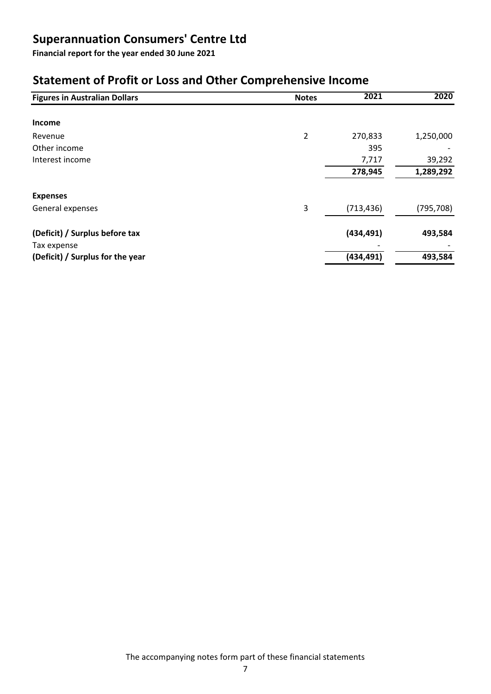Financial report for the year ended 30 June 2021

# Statement of Profit or Loss and Other Comprehensive Income

| <b>Figures in Australian Dollars</b> | <b>Notes</b>   | 2021       | 2020       |
|--------------------------------------|----------------|------------|------------|
|                                      |                |            |            |
| <b>Income</b>                        |                |            |            |
| Revenue                              | $\overline{2}$ | 270,833    | 1,250,000  |
| Other income                         |                | 395        |            |
| Interest income                      |                | 7,717      | 39,292     |
|                                      |                | 278,945    | 1,289,292  |
|                                      |                |            |            |
| <b>Expenses</b>                      |                |            |            |
| General expenses                     | 3              | (713, 436) | (795, 708) |
|                                      |                |            |            |
| (Deficit) / Surplus before tax       |                | (434, 491) | 493,584    |
| Tax expense                          |                |            |            |
| (Deficit) / Surplus for the year     |                | (434, 491) | 493,584    |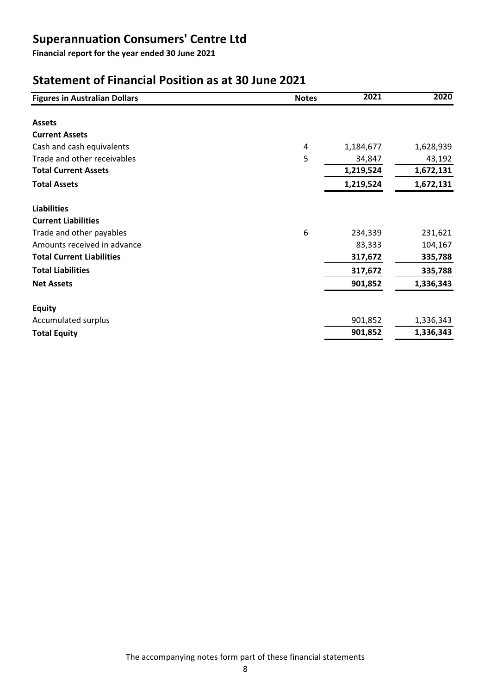Financial report for the year ended 30 June 2021

# Statement of Financial Position as at 30 June 2021

| <b>Figures in Australian Dollars</b> | <b>Notes</b> | 2021      | 2020      |
|--------------------------------------|--------------|-----------|-----------|
|                                      |              |           |           |
| <b>Assets</b>                        |              |           |           |
| <b>Current Assets</b>                |              |           |           |
| Cash and cash equivalents            | 4            | 1,184,677 | 1,628,939 |
| Trade and other receivables          | 5            | 34,847    | 43,192    |
| <b>Total Current Assets</b>          |              | 1,219,524 | 1,672,131 |
| <b>Total Assets</b>                  |              | 1,219,524 | 1,672,131 |
| <b>Liabilities</b>                   |              |           |           |
| <b>Current Liabilities</b>           |              |           |           |
| Trade and other payables             | 6            | 234,339   | 231,621   |
| Amounts received in advance          |              | 83,333    | 104,167   |
| <b>Total Current Liabilities</b>     |              | 317,672   | 335,788   |
| <b>Total Liabilities</b>             |              | 317,672   | 335,788   |
| <b>Net Assets</b>                    |              | 901,852   | 1,336,343 |
| <b>Equity</b>                        |              |           |           |
| Accumulated surplus                  |              | 901,852   | 1,336,343 |
| <b>Total Equity</b>                  |              | 901,852   | 1,336,343 |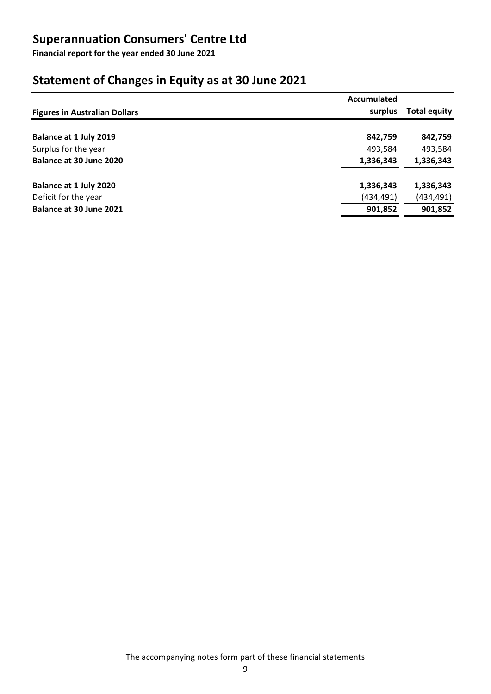Financial report for the year ended 30 June 2021

# Statement of Changes in Equity as at 30 June 2021

|                                      | Accumulated |                     |
|--------------------------------------|-------------|---------------------|
| <b>Figures in Australian Dollars</b> | surplus     | <b>Total equity</b> |
| Balance at 1 July 2019               | 842,759     | 842,759             |
| Surplus for the year                 | 493,584     | 493,584             |
| Balance at 30 June 2020              | 1,336,343   | 1,336,343           |
| Balance at 1 July 2020               | 1,336,343   | 1,336,343           |
| Deficit for the year                 | (434, 491)  | (434, 491)          |
| Balance at 30 June 2021              | 901,852     | 901,852             |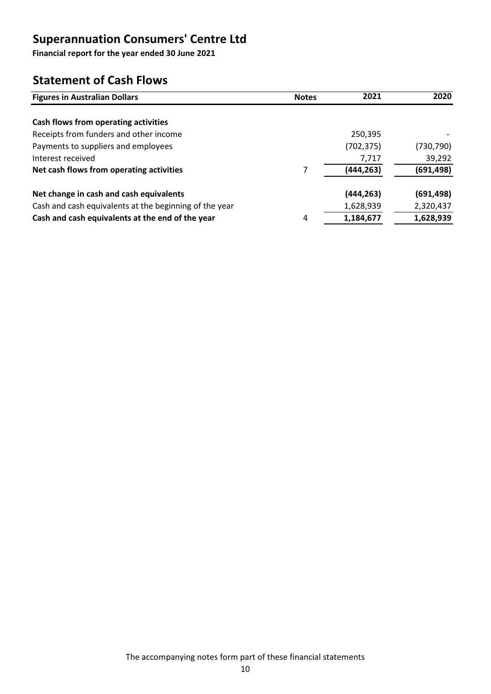Financial report for the year ended 30 June 2021

### Statement of Cash Flows

| <b>Figures in Australian Dollars</b>                   | <b>Notes</b> | 2021       | 2020       |
|--------------------------------------------------------|--------------|------------|------------|
|                                                        |              |            |            |
| Cash flows from operating activities                   |              |            |            |
| Receipts from funders and other income                 |              | 250,395    |            |
| Payments to suppliers and employees                    |              | (702, 375) | (730, 790) |
| Interest received                                      |              | 7,717      | 39,292     |
| Net cash flows from operating activities               | 7            | (444, 263) | (691,498)  |
| Net change in cash and cash equivalents                |              | (444, 263) | (691,498)  |
| Cash and cash equivalents at the beginning of the year |              | 1,628,939  | 2,320,437  |
| Cash and cash equivalents at the end of the year       | 4            | 1,184,677  | 1,628,939  |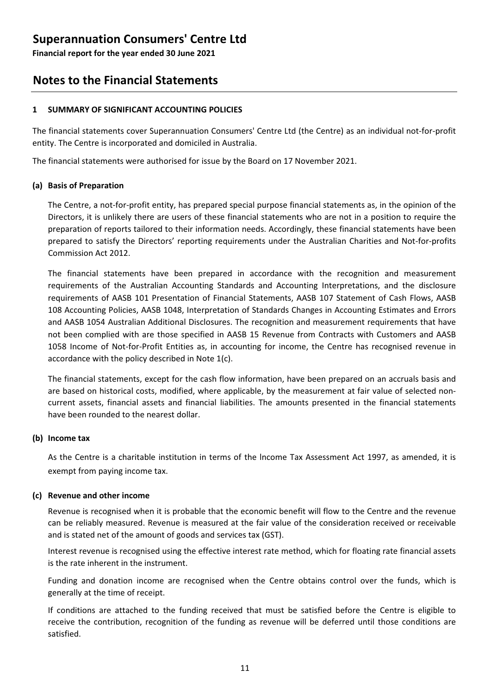Financial report for the year ended 30 June 2021

### Notes to the Financial Statements

#### 1 SUMMARY OF SIGNIFICANT ACCOUNTING POLICIES

The financial statements cover Superannuation Consumers' Centre Ltd (the Centre) as an individual not-for-profit entity. The Centre is incorporated and domiciled in Australia.

The financial statements were authorised for issue by the Board on 17 November 2021.

#### (a) Basis of Preparation

The Centre, a not-for-profit entity, has prepared special purpose financial statements as, in the opinion of the Directors, it is unlikely there are users of these financial statements who are not in a position to require the preparation of reports tailored to their information needs. Accordingly, these financial statements have been prepared to satisfy the Directors' reporting requirements under the Australian Charities and Not-for-profits Commission Act 2012.

The financial statements have been prepared in accordance with the recognition and measurement requirements of the Australian Accounting Standards and Accounting Interpretations, and the disclosure requirements of AASB 101 Presentation of Financial Statements, AASB 107 Statement of Cash Flows, AASB 108 Accounting Policies, AASB 1048, Interpretation of Standards Changes in Accounting Estimates and Errors and AASB 1054 Australian Additional Disclosures. The recognition and measurement requirements that have not been complied with are those specified in AASB 15 Revenue from Contracts with Customers and AASB 1058 Income of Not-for-Profit Entities as, in accounting for income, the Centre has recognised revenue in accordance with the policy described in Note 1(c).

The financial statements, except for the cash flow information, have been prepared on an accruals basis and are based on historical costs, modified, where applicable, by the measurement at fair value of selected noncurrent assets, financial assets and financial liabilities. The amounts presented in the financial statements have been rounded to the nearest dollar.

#### (b) Income tax

As the Centre is a charitable institution in terms of the lncome Tax Assessment Act 1997, as amended, it is exempt from paying income tax.

#### (c) Revenue and other income

Revenue is recognised when it is probable that the economic benefit will flow to the Centre and the revenue can be reliably measured. Revenue is measured at the fair value of the consideration received or receivable and is stated net of the amount of goods and services tax (GST).

Interest revenue is recognised using the effective interest rate method, which for floating rate financial assets is the rate inherent in the instrument.

Funding and donation income are recognised when the Centre obtains control over the funds, which is generally at the time of receipt.

If conditions are attached to the funding received that must be satisfied before the Centre is eligible to receive the contribution, recognition of the funding as revenue will be deferred until those conditions are satisfied.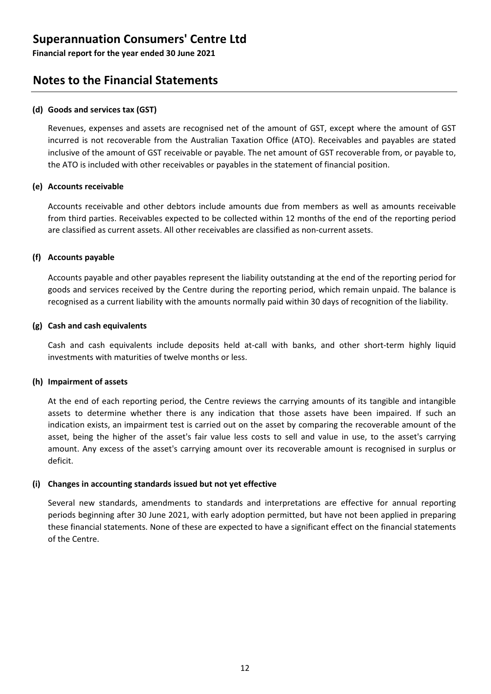Financial report for the year ended 30 June 2021

### Notes to the Financial Statements

#### (d) Goods and services tax (GST)

Revenues, expenses and assets are recognised net of the amount of GST, except where the amount of GST incurred is not recoverable from the Australian Taxation Office (ATO). Receivables and payables are stated inclusive of the amount of GST receivable or payable. The net amount of GST recoverable from, or payable to, the ATO is included with other receivables or payables in the statement of financial position.

#### (e) Accounts receivable

Accounts receivable and other debtors include amounts due from members as well as amounts receivable from third parties. Receivables expected to be collected within 12 months of the end of the reporting period are classified as current assets. All other receivables are classified as non-current assets.

#### (f) Accounts payable

Accounts payable and other payables represent the liability outstanding at the end of the reporting period for goods and services received by the Centre during the reporting period, which remain unpaid. The balance is recognised as a current liability with the amounts normally paid within 30 days of recognition of the liability.

#### (g) Cash and cash equivalents

Cash and cash equivalents include deposits held at-call with banks, and other short-term highly liquid investments with maturities of twelve months or less.

#### (h) Impairment of assets

At the end of each reporting period, the Centre reviews the carrying amounts of its tangible and intangible assets to determine whether there is any indication that those assets have been impaired. If such an indication exists, an impairment test is carried out on the asset by comparing the recoverable amount of the asset, being the higher of the asset's fair value less costs to sell and value in use, to the asset's carrying amount. Any excess of the asset's carrying amount over its recoverable amount is recognised in surplus or deficit.

#### (i) Changes in accounting standards issued but not yet effective

Several new standards, amendments to standards and interpretations are effective for annual reporting periods beginning after 30 June 2021, with early adoption permitted, but have not been applied in preparing these financial statements. None of these are expected to have a significant effect on the financial statements of the Centre.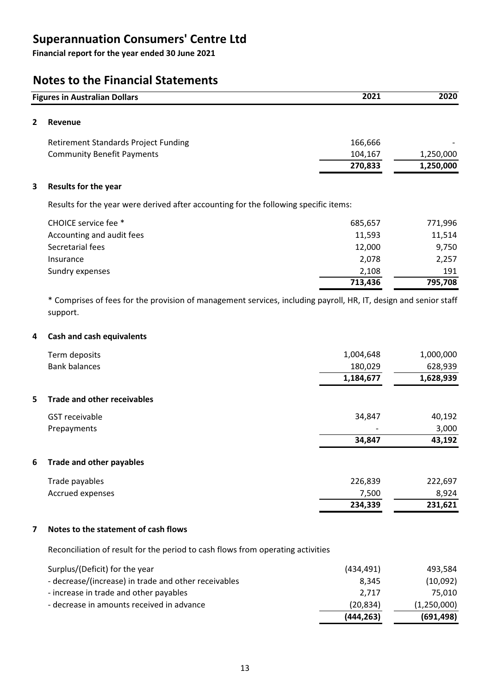Financial report for the year ended 30 June 2021

### Notes to the Financial Statements

|                | 2021<br><b>Figures in Australian Dollars</b>                                         |         | 2020      |
|----------------|--------------------------------------------------------------------------------------|---------|-----------|
| $\overline{2}$ | <b>Revenue</b>                                                                       |         |           |
|                | <b>Retirement Standards Project Funding</b>                                          | 166,666 |           |
|                | <b>Community Benefit Payments</b>                                                    | 104,167 | 1,250,000 |
|                |                                                                                      | 270,833 | 1,250,000 |
| 3              | <b>Results for the year</b>                                                          |         |           |
|                | Results for the year were derived after accounting for the following specific items: |         |           |
|                | CHOICE service fee *                                                                 | 685,657 | 771,996   |
|                | Accounting and audit fees                                                            | 11,593  | 11,514    |
|                | Secretarial fees                                                                     | 12,000  | 9,750     |
|                | Insurance                                                                            | 2,078   | 2,257     |
|                | Sundry expenses                                                                      | 2,108   | 191       |

\* Comprises of fees for the provision of management services, including payroll, HR, IT, design and senior staff support.

713,436 795,708

#### 4 Cash and cash equivalents

| Term deposits                            | 1,004,648                | 1,000,000 |
|------------------------------------------|--------------------------|-----------|
| <b>Bank balances</b>                     | 180,029                  | 628,939   |
|                                          | 1,184,677                | 1,628,939 |
| <b>Trade and other receivables</b><br>5. |                          |           |
| <b>GST</b> receivable                    | 34,847                   | 40,192    |
| Prepayments                              | $\overline{\phantom{0}}$ | 3,000     |
|                                          | 34,847                   | 43,192    |
|                                          |                          |           |

#### 6 Trade and other payables

| 7.500<br>Accrued expenses | 8.924   |
|---------------------------|---------|
|                           |         |
| 226,839<br>Trade payables | 222,697 |

#### 7 Notes to the statement of cash flows

Reconciliation of result for the period to cash flows from operating activities

|                                                      | (444, 263) | (691, 498)  |
|------------------------------------------------------|------------|-------------|
| - decrease in amounts received in advance            | (20, 834)  | (1,250,000) |
| - increase in trade and other payables               | 2,717      | 75.010      |
| - decrease/(increase) in trade and other receivables | 8.345      | (10,092)    |
| Surplus/(Deficit) for the year                       | (434, 491) | 493.584     |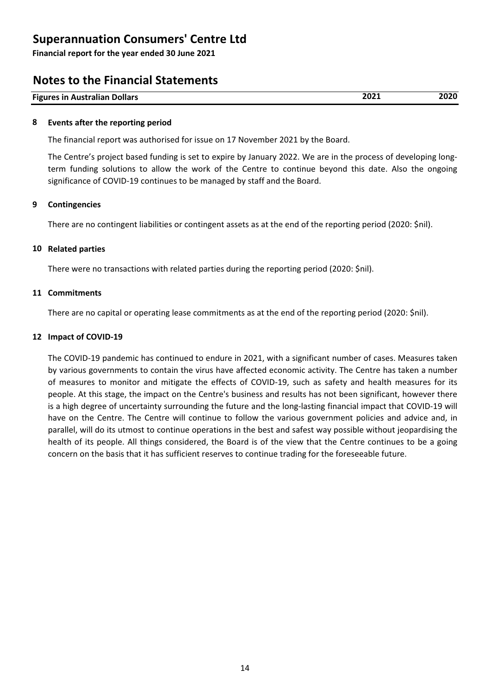Financial report for the year ended 30 June 2021

### Notes to the Financial Statements

| <b>Figures in Australian Dollars</b> | ZUZJ | 2020 |
|--------------------------------------|------|------|

#### 8 Events after the reporting period

The financial report was authorised for issue on 17 November 2021 by the Board.

The Centre's project based funding is set to expire by January 2022. We are in the process of developing longterm funding solutions to allow the work of the Centre to continue beyond this date. Also the ongoing significance of COVID-19 continues to be managed by staff and the Board.

#### 9 Contingencies

There are no contingent liabilities or contingent assets as at the end of the reporting period (2020: \$nil).

#### 10 Related parties

There were no transactions with related parties during the reporting period (2020: \$nil).

#### 11 Commitments

There are no capital or operating lease commitments as at the end of the reporting period (2020: \$nil).

#### 12 Impact of COVID-19

The COVID-19 pandemic has continued to endure in 2021, with a significant number of cases. Measures taken by various governments to contain the virus have affected economic activity. The Centre has taken a number of measures to monitor and mitigate the effects of COVID-19, such as safety and health measures for its people. At this stage, the impact on the Centre's business and results has not been significant, however there is a high degree of uncertainty surrounding the future and the long-lasting financial impact that COVID-19 will have on the Centre. The Centre will continue to follow the various government policies and advice and, in parallel, will do its utmost to continue operations in the best and safest way possible without jeopardising the health of its people. All things considered, the Board is of the view that the Centre continues to be a going concern on the basis that it has sufficient reserves to continue trading for the foreseeable future.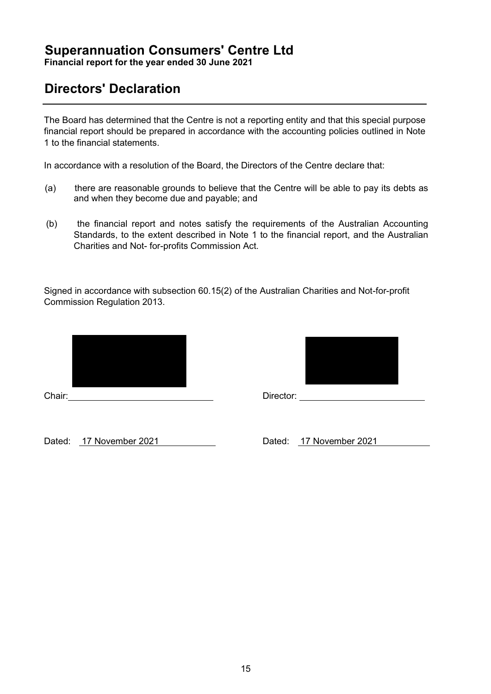Financial report for the year ended 30 June 2021

# Directors' Declaration

The Board has determined that the Centre is not a reporting entity and that this special purpose financial report should be prepared in accordance with the accounting policies outlined in Note 1 to the financial statements.

In accordance with a resolution of the Board, the Directors of the Centre declare that:

- (a) there are reasonable grounds to believe that the Centre will be able to pay its debts as and when they become due and payable; and
- (b) the financial report and notes satisfy the requirements of the Australian Accounting Standards, to the extent described in Note 1 to the financial report, and the Australian Charities and Not- for-profits Commission Act.

Signed in accordance with subsection 60.15(2) of the Australian Charities and Not-for-profit Commission Regulation 2013.



Chair: Director: Director: 2012



Dated: 17 November 2021 Dated: 17 November 2021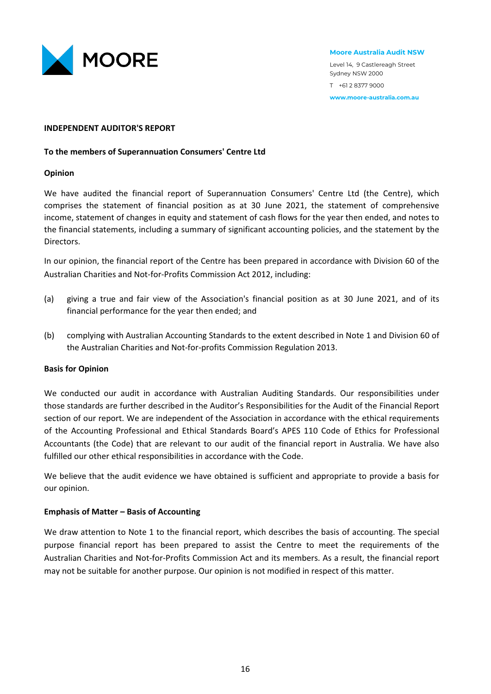

#### Moore Australia Audit NSW

Level 14, 9 Castlereagh Street Sydney NSW 2000 T +61 2 8377 9000 www.moore-australia.com.au

#### INDEPENDENT AUDITOR'S REPORT

#### To the members of Superannuation Consumers' Centre Ltd

#### Opinion

We have audited the financial report of Superannuation Consumers' Centre Ltd (the Centre), which comprises the statement of financial position as at 30 June 2021, the statement of comprehensive income, statement of changes in equity and statement of cash flows for the year then ended, and notes to the financial statements, including a summary of significant accounting policies, and the statement by the Directors.

In our opinion, the financial report of the Centre has been prepared in accordance with Division 60 of the Australian Charities and Not-for-Profits Commission Act 2012, including:

- (a) giving a true and fair view of the Association's financial position as at 30 June 2021, and of its financial performance for the year then ended; and
- (b) complying with Australian Accounting Standards to the extent described in Note 1 and Division 60 of the Australian Charities and Not-for-profits Commission Regulation 2013.

#### Basis for Opinion

We conducted our audit in accordance with Australian Auditing Standards. Our responsibilities under those standards are further described in the Auditor's Responsibilities for the Audit of the Financial Report section of our report. We are independent of the Association in accordance with the ethical requirements of the Accounting Professional and Ethical Standards Board's APES 110 Code of Ethics for Professional Accountants (the Code) that are relevant to our audit of the financial report in Australia. We have also fulfilled our other ethical responsibilities in accordance with the Code.

We believe that the audit evidence we have obtained is sufficient and appropriate to provide a basis for our opinion.

#### Emphasis of Matter – Basis of Accounting

We draw attention to Note 1 to the financial report, which describes the basis of accounting. The special purpose financial report has been prepared to assist the Centre to meet the requirements of the Australian Charities and Not-for-Profits Commission Act and its members. As a result, the financial report may not be suitable for another purpose. Our opinion is not modified in respect of this matter.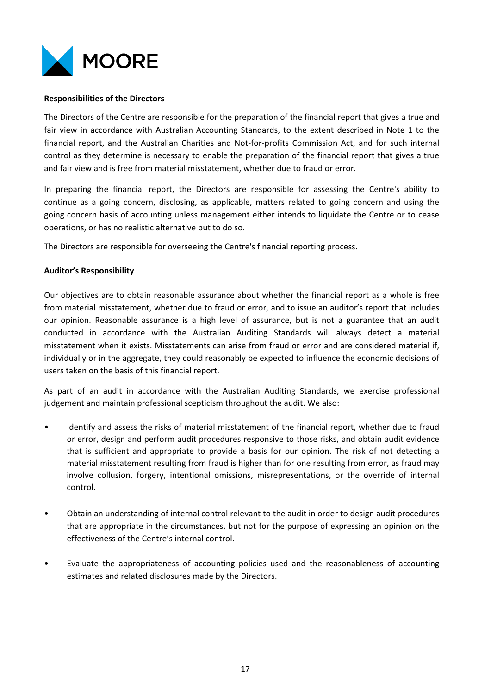

#### Responsibilities of the Directors

The Directors of the Centre are responsible for the preparation of the financial report that gives a true and fair view in accordance with Australian Accounting Standards, to the extent described in Note 1 to the financial report, and the Australian Charities and Not-for-profits Commission Act, and for such internal control as they determine is necessary to enable the preparation of the financial report that gives a true and fair view and is free from material misstatement, whether due to fraud or error.

In preparing the financial report, the Directors are responsible for assessing the Centre's ability to continue as a going concern, disclosing, as applicable, matters related to going concern and using the going concern basis of accounting unless management either intends to liquidate the Centre or to cease operations, or has no realistic alternative but to do so.

The Directors are responsible for overseeing the Centre's financial reporting process.

#### Auditor's Responsibility

Our objectives are to obtain reasonable assurance about whether the financial report as a whole is free from material misstatement, whether due to fraud or error, and to issue an auditor's report that includes our opinion. Reasonable assurance is a high level of assurance, but is not a guarantee that an audit conducted in accordance with the Australian Auditing Standards will always detect a material misstatement when it exists. Misstatements can arise from fraud or error and are considered material if, individually or in the aggregate, they could reasonably be expected to influence the economic decisions of users taken on the basis of this financial report.

As part of an audit in accordance with the Australian Auditing Standards, we exercise professional judgement and maintain professional scepticism throughout the audit. We also:

- Identify and assess the risks of material misstatement of the financial report, whether due to fraud or error, design and perform audit procedures responsive to those risks, and obtain audit evidence that is sufficient and appropriate to provide a basis for our opinion. The risk of not detecting a material misstatement resulting from fraud is higher than for one resulting from error, as fraud may involve collusion, forgery, intentional omissions, misrepresentations, or the override of internal control.
- Obtain an understanding of internal control relevant to the audit in order to design audit procedures that are appropriate in the circumstances, but not for the purpose of expressing an opinion on the effectiveness of the Centre's internal control.
- Evaluate the appropriateness of accounting policies used and the reasonableness of accounting estimates and related disclosures made by the Directors.